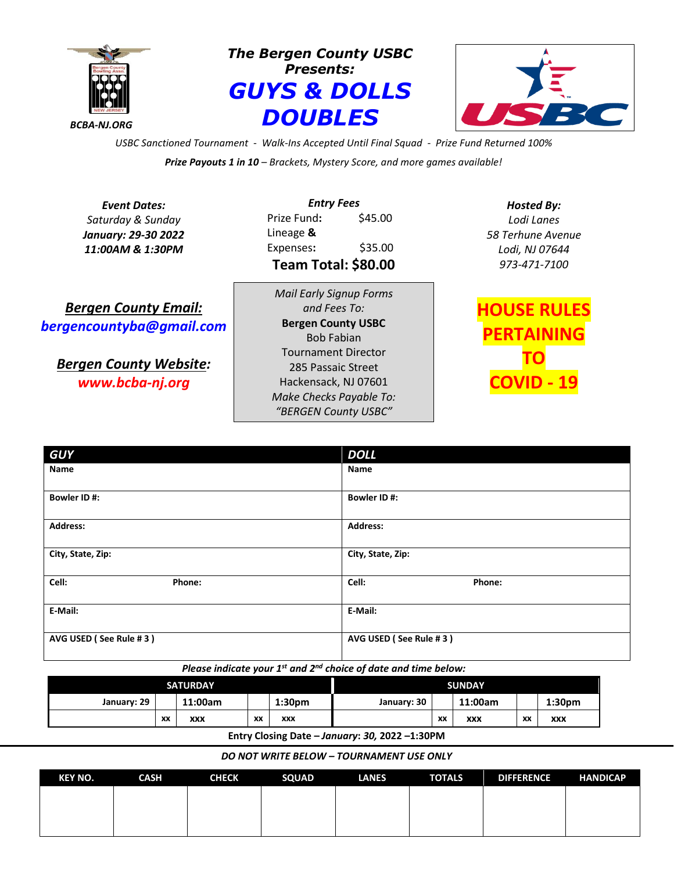

*The Bergen County USBC Presents: GUYS & DOLLS DOUBLES*



*USBC Sanctioned Tournament - Walk-Ins Accepted Until Final Squad - Prize Fund Returned 100% Prize Payouts 1 in 10 – Brackets, Mystery Score, and more games available!*

*Event Dates: Saturday & Sunday January: 29-30 2022 11:00AM & 1:30PM*

*Entry Fees* Prize Fund**:** \$45.00 Lineage **&** Expenses**:** \$35.00 **Team Total: \$80.00**

*Bergen County Email: [bergencountyba@gmail.com](mailto:bergencountyba@gmail.com)*

*Bergen County Website: www.bcba-nj.org*

*Mail Early Signup Forms and Fees To:* **Bergen County USBC**  Bob Fabian Tournament Director 285 Passaic Street Hackensack, NJ 07601 *Make Checks Payable To: "BERGEN County USBC"*

*Hosted By: Lodi Lanes 58 Terhune Avenue Lodi, NJ 07644 973-471-7100*

**OUSE RULES PERTAINING TO COVID - 19**

| <b>GUY</b>             | <b>DOLL</b>            |  |  |  |
|------------------------|------------------------|--|--|--|
| Name                   | Name                   |  |  |  |
| Bowler ID#:            | Bowler ID#:            |  |  |  |
| <b>Address:</b>        | <b>Address:</b>        |  |  |  |
| City, State, Zip:      | City, State, Zip:      |  |  |  |
| Cell:<br>Phone:        | Cell:<br>Phone:        |  |  |  |
| E-Mail:                | E-Mail:                |  |  |  |
| AVG USED (See Rule #3) | AVG USED (See Rule #3) |  |  |  |

*Please indicate your 1st and 2nd choice of date and time below:*

| <b>SATURDAY</b>                                                                                                                   |    |         | <b>SUNDAY</b> |                    |             |    |         |    |                    |
|-----------------------------------------------------------------------------------------------------------------------------------|----|---------|---------------|--------------------|-------------|----|---------|----|--------------------|
| January: 29                                                                                                                       |    | 11:00am |               | 1:30 <sub>pm</sub> | January: 30 |    | 11:00am |    | 1:30 <sub>pm</sub> |
|                                                                                                                                   | XX | XXX     | XX            | <b>XXX</b>         |             | XX | XXX     | XX | <b>XXX</b>         |
| $F_{11}$ , $F_{21}$ , $F_{31}$ , $F_{41}$ , $F_{51}$ , $F_{51}$ , $F_{51}$ , $F_{51}$ , $F_{51}$ , $F_{51}$ , $F_{51}$ , $F_{51}$ |    |         |               |                    |             |    |         |    |                    |

**Entry Closing Date –** *January***:** *30,* **2022 –1:30PM**

*DO NOT WRITE BELOW – TOURNAMENT USE ONLY*

| <b>KEY NO.</b> | <b>CASH</b> | <b>CHECK</b> | <b>SQUAD</b> | <b>LANES</b> | <b>TOTALS</b> | <b>DIFFERENCE</b> | <b>HANDICAP</b> |
|----------------|-------------|--------------|--------------|--------------|---------------|-------------------|-----------------|
|                |             |              |              |              |               |                   |                 |
|                |             |              |              |              |               |                   |                 |
|                |             |              |              |              |               |                   |                 |